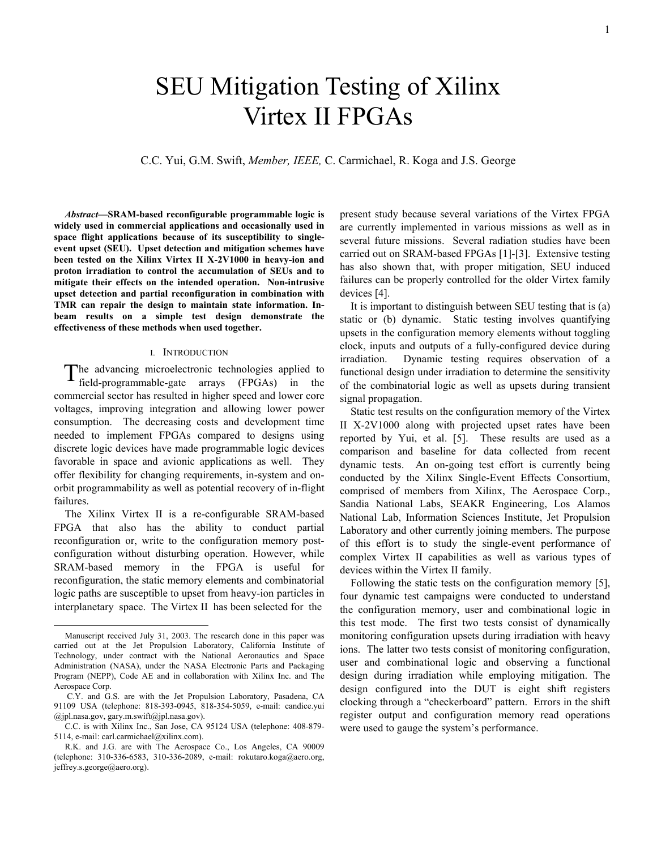# SEU Mitigation Testing of Xilinx Virtex II FPGAs

C.C. Yui, G.M. Swift, *Member, IEEE,* C. Carmichael, R. Koga and J.S. George

*Abstract***—SRAM-based reconfigurable programmable logic is widely used in commercial applications and occasionally used in space flight applications because of its susceptibility to singleevent upset (SEU). Upset detection and mitigation schemes have been tested on the Xilinx Virtex II X-2V1000 in heavy-ion and proton irradiation to control the accumulation of SEUs and to mitigate their effects on the intended operation. Non-intrusive upset detection and partial reconfiguration in combination with TMR can repair the design to maintain state information. Inbeam results on a simple test design demonstrate the effectiveness of these methods when used together.** 

#### I. INTRODUCTION

The advancing microelectronic technologies applied to<br>field-programmable-gate arrays (FPGAs) in the field-programmable-gate arrays (FPGAs) in the commercial sector has resulted in higher speed and lower core voltages, improving integration and allowing lower power consumption. The decreasing costs and development time needed to implement FPGAs compared to designs using discrete logic devices have made programmable logic devices favorable in space and avionic applications as well. They offer flexibility for changing requirements, in-system and onorbit programmability as well as potential recovery of in-flight failures.

The Xilinx Virtex II is a re-configurable SRAM-based FPGA that also has the ability to conduct partial reconfiguration or, write to the configuration memory postconfiguration without disturbing operation. However, while SRAM-based memory in the FPGA is useful for reconfiguration, the static memory elements and combinatorial logic paths are susceptible to upset from heavy-ion particles in interplanetary space. The Virtex II has been selected for the

present study because several variations of the Virtex FPGA are currently implemented in various missions as well as in several future missions. Several radiation studies have been carried out on SRAM-based FPGAs [1]-[3]. Extensive testing has also shown that, with proper mitigation, SEU induced failures can be properly controlled for the older Virtex family devices [4].

It is important to distinguish between SEU testing that is (a) static or (b) dynamic. Static testing involves quantifying upsets in the configuration memory elements without toggling clock, inputs and outputs of a fully-configured device during irradiation. Dynamic testing requires observation of a functional design under irradiation to determine the sensitivity of the combinatorial logic as well as upsets during transient signal propagation.

Static test results on the configuration memory of the Virtex II X-2V1000 along with projected upset rates have been reported by Yui, et al. [5]. These results are used as a comparison and baseline for data collected from recent dynamic tests. An on-going test effort is currently being conducted by the Xilinx Single-Event Effects Consortium, comprised of members from Xilinx, The Aerospace Corp., Sandia National Labs, SEAKR Engineering, Los Alamos National Lab, Information Sciences Institute, Jet Propulsion Laboratory and other currently joining members. The purpose of this effort is to study the single-event performance of complex Virtex II capabilities as well as various types of devices within the Virtex II family.

Following the static tests on the configuration memory [5], four dynamic test campaigns were conducted to understand the configuration memory, user and combinational logic in this test mode. The first two tests consist of dynamically monitoring configuration upsets during irradiation with heavy ions. The latter two tests consist of monitoring configuration, user and combinational logic and observing a functional design during irradiation while employing mitigation. The design configured into the DUT is eight shift registers clocking through a "checkerboard" pattern. Errors in the shift register output and configuration memory read operations were used to gauge the system's performance.

Manuscript received July 31, 2003. The research done in this paper was carried out at the Jet Propulsion Laboratory, California Institute of Technology, under contract with the National Aeronautics and Space Administration (NASA), under the NASA Electronic Parts and Packaging Program (NEPP), Code AE and in collaboration with Xilinx Inc. and The Aerospace Corp.

C.Y. and G.S. are with the Jet Propulsion Laboratory, Pasadena, CA 91109 USA (telephone: 818-393-0945, 818-354-5059, e-mail: candice.yui @jpl.nasa.gov, gary.m.swift@jpl.nasa.gov).

C.C. is with Xilinx Inc., San Jose, CA 95124 USA (telephone: 408-879- 5114, e-mail: carl.carmichael@xilinx.com).

R.K. and J.G. are with The Aerospace Co., Los Angeles, CA 90009 (telephone: 310-336-6583, 310-336-2089, e-mail: rokutaro.koga@aero.org, jeffrey.s.george@aero.org).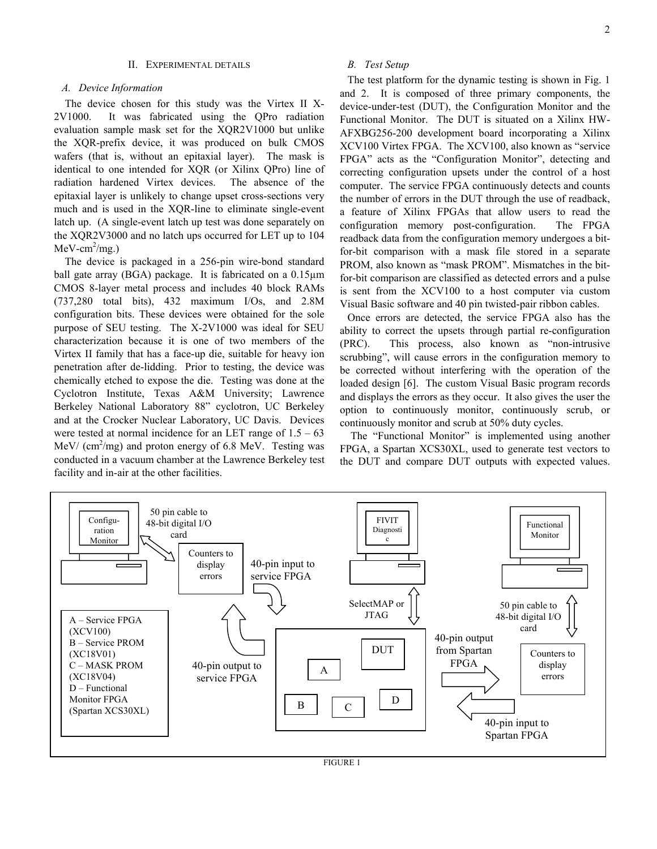# II. EXPERIMENTAL DETAILS

# *A. Device Information*

The device chosen for this study was the Virtex II X-2V1000. It was fabricated using the QPro radiation evaluation sample mask set for the XQR2V1000 but unlike the XQR-prefix device, it was produced on bulk CMOS wafers (that is, without an epitaxial layer). The mask is identical to one intended for XQR (or Xilinx QPro) line of radiation hardened Virtex devices. The absence of the epitaxial layer is unlikely to change upset cross-sections very much and is used in the XQR-line to eliminate single-event latch up. (A single-event latch up test was done separately on the XQR2V3000 and no latch ups occurred for LET up to 104  $MeV-cm^2/mg.$ )

The device is packaged in a 256-pin wire-bond standard ball gate array (BGA) package. It is fabricated on a 0.15µm CMOS 8-layer metal process and includes 40 block RAMs (737,280 total bits), 432 maximum I/Os, and 2.8M configuration bits. These devices were obtained for the sole purpose of SEU testing. The X-2V1000 was ideal for SEU characterization because it is one of two members of the Virtex II family that has a face-up die, suitable for heavy ion penetration after de-lidding. Prior to testing, the device was chemically etched to expose the die. Testing was done at the Cyclotron Institute, Texas A&M University; Lawrence Berkeley National Laboratory 88" cyclotron, UC Berkeley and at the Crocker Nuclear Laboratory, UC Davis. Devices were tested at normal incidence for an LET range of  $1.5 - 63$  $MeV/(cm^2/mg)$  and proton energy of 6.8 MeV. Testing was conducted in a vacuum chamber at the Lawrence Berkeley test facility and in-air at the other facilities.

# *B. Test Setup*

The test platform for the dynamic testing is shown in Fig. 1 and 2. It is composed of three primary components, the device-under-test (DUT), the Configuration Monitor and the Functional Monitor. The DUT is situated on a Xilinx HW-AFXBG256-200 development board incorporating a Xilinx XCV100 Virtex FPGA. The XCV100, also known as "service FPGA" acts as the "Configuration Monitor", detecting and correcting configuration upsets under the control of a host computer. The service FPGA continuously detects and counts the number of errors in the DUT through the use of readback, a feature of Xilinx FPGAs that allow users to read the configuration memory post-configuration. The FPGA readback data from the configuration memory undergoes a bitfor-bit comparison with a mask file stored in a separate PROM, also known as "mask PROM". Mismatches in the bitfor-bit comparison are classified as detected errors and a pulse is sent from the XCV100 to a host computer via custom Visual Basic software and 40 pin twisted-pair ribbon cables.

Once errors are detected, the service FPGA also has the ability to correct the upsets through partial re-configuration (PRC). This process, also known as "non-intrusive scrubbing", will cause errors in the configuration memory to be corrected without interfering with the operation of the loaded design [6]. The custom Visual Basic program records and displays the errors as they occur. It also gives the user the option to continuously monitor, continuously scrub, or continuously monitor and scrub at 50% duty cycles.

The "Functional Monitor" is implemented using another FPGA, a Spartan XCS30XL, used to generate test vectors to the DUT and compare DUT outputs with expected values.

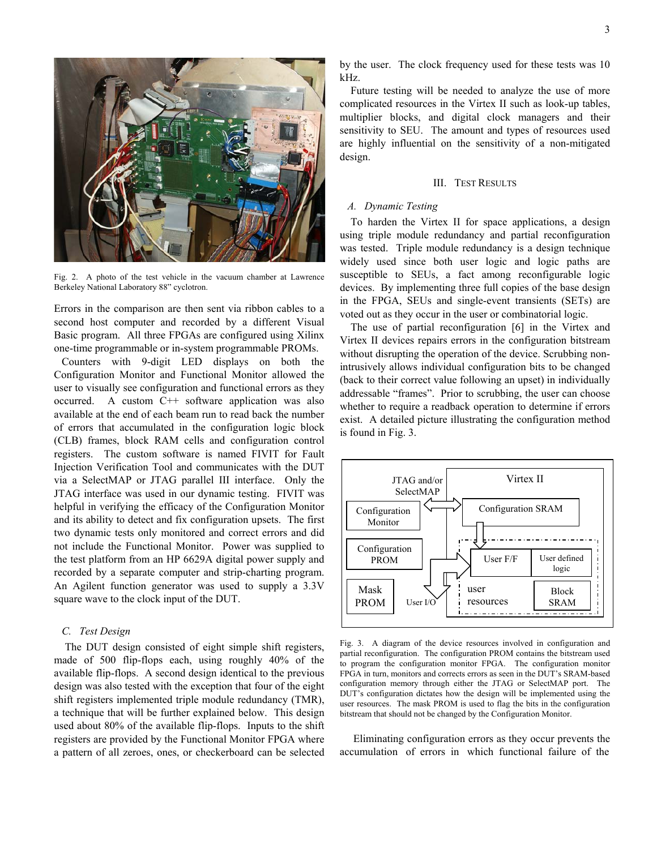

Fig. 2. A photo of the test vehicle in the vacuum chamber at Lawrence Berkeley National Laboratory 88" cyclotron.

Errors in the comparison are then sent via ribbon cables to a second host computer and recorded by a different Visual Basic program. All three FPGAs are configured using Xilinx one-time programmable or in-system programmable PROMs.

Counters with 9-digit LED displays on both the Configuration Monitor and Functional Monitor allowed the user to visually see configuration and functional errors as they occurred. A custom C++ software application was also available at the end of each beam run to read back the number of errors that accumulated in the configuration logic block (CLB) frames, block RAM cells and configuration control registers. The custom software is named FIVIT for Fault Injection Verification Tool and communicates with the DUT via a SelectMAP or JTAG parallel III interface. Only the JTAG interface was used in our dynamic testing. FIVIT was helpful in verifying the efficacy of the Configuration Monitor and its ability to detect and fix configuration upsets. The first two dynamic tests only monitored and correct errors and did not include the Functional Monitor. Power was supplied to the test platform from an HP 6629A digital power supply and recorded by a separate computer and strip-charting program. An Agilent function generator was used to supply a 3.3V square wave to the clock input of the DUT.

# *C. Test Design*

The DUT design consisted of eight simple shift registers, made of 500 flip-flops each, using roughly 40% of the available flip-flops. A second design identical to the previous design was also tested with the exception that four of the eight shift registers implemented triple module redundancy (TMR), a technique that will be further explained below. This design used about 80% of the available flip-flops. Inputs to the shift registers are provided by the Functional Monitor FPGA where a pattern of all zeroes, ones, or checkerboard can be selected by the user. The clock frequency used for these tests was 10 kHz.

Future testing will be needed to analyze the use of more complicated resources in the Virtex II such as look-up tables, multiplier blocks, and digital clock managers and their sensitivity to SEU. The amount and types of resources used are highly influential on the sensitivity of a non-mitigated design.

## III. TEST RESULTS

# *A. Dynamic Testing*

To harden the Virtex II for space applications, a design using triple module redundancy and partial reconfiguration was tested. Triple module redundancy is a design technique widely used since both user logic and logic paths are susceptible to SEUs, a fact among reconfigurable logic devices. By implementing three full copies of the base design in the FPGA, SEUs and single-event transients (SETs) are voted out as they occur in the user or combinatorial logic.

The use of partial reconfiguration [6] in the Virtex and Virtex II devices repairs errors in the configuration bitstream without disrupting the operation of the device. Scrubbing nonintrusively allows individual configuration bits to be changed (back to their correct value following an upset) in individually addressable "frames". Prior to scrubbing, the user can choose whether to require a readback operation to determine if errors exist. A detailed picture illustrating the configuration method is found in Fig. 3.



Fig. 3. A diagram of the device resources involved in configuration and partial reconfiguration. The configuration PROM contains the bitstream used to program the configuration monitor FPGA. The configuration monitor FPGA in turn, monitors and corrects errors as seen in the DUT's SRAM-based configuration memory through either the JTAG or SelectMAP port. The DUT's configuration dictates how the design will be implemented using the user resources. The mask PROM is used to flag the bits in the configuration bitstream that should not be changed by the Configuration Monitor.

 Eliminating configuration errors as they occur prevents the accumulation of errors in which functional failure of the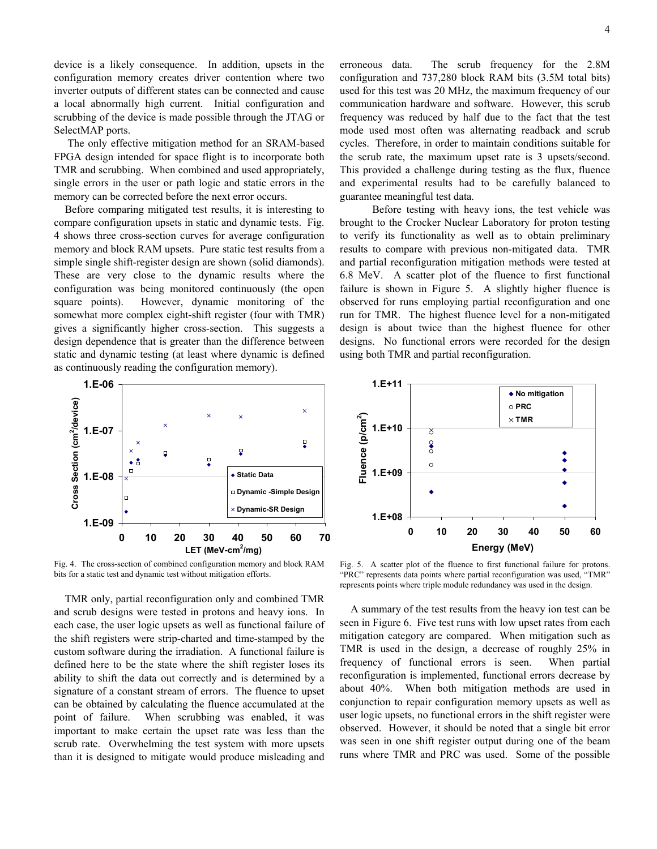device is a likely consequence. In addition, upsets in the configuration memory creates driver contention where two inverter outputs of different states can be connected and cause a local abnormally high current. Initial configuration and scrubbing of the device is made possible through the JTAG or SelectMAP ports.

 The only effective mitigation method for an SRAM-based FPGA design intended for space flight is to incorporate both TMR and scrubbing. When combined and used appropriately, single errors in the user or path logic and static errors in the memory can be corrected before the next error occurs.

Before comparing mitigated test results, it is interesting to compare configuration upsets in static and dynamic tests. Fig. 4 shows three cross-section curves for average configuration memory and block RAM upsets. Pure static test results from a simple single shift-register design are shown (solid diamonds). These are very close to the dynamic results where the configuration was being monitored continuously (the open square points). However, dynamic monitoring of the somewhat more complex eight-shift register (four with TMR) gives a significantly higher cross-section. This suggests a design dependence that is greater than the difference between static and dynamic testing (at least where dynamic is defined as continuously reading the configuration memory).

erroneous data. The scrub frequency for the 2.8M configuration and 737,280 block RAM bits (3.5M total bits) used for this test was 20 MHz, the maximum frequency of our communication hardware and software. However, this scrub frequency was reduced by half due to the fact that the test mode used most often was alternating readback and scrub cycles. Therefore, in order to maintain conditions suitable for the scrub rate, the maximum upset rate is 3 upsets/second. This provided a challenge during testing as the flux, fluence and experimental results had to be carefully balanced to guarantee meaningful test data.

 Before testing with heavy ions, the test vehicle was brought to the Crocker Nuclear Laboratory for proton testing to verify its functionality as well as to obtain preliminary results to compare with previous non-mitigated data. TMR and partial reconfiguration mitigation methods were tested at 6.8 MeV. A scatter plot of the fluence to first functional failure is shown in Figure 5. A slightly higher fluence is observed for runs employing partial reconfiguration and one run for TMR. The highest fluence level for a non-mitigated design is about twice than the highest fluence for other designs. No functional errors were recorded for the design using both TMR and partial reconfiguration.



Fig. 4. The cross-section of combined configuration memory and block RAM bits for a static test and dynamic test without mitigation efforts.

TMR only, partial reconfiguration only and combined TMR and scrub designs were tested in protons and heavy ions. In each case, the user logic upsets as well as functional failure of the shift registers were strip-charted and time-stamped by the custom software during the irradiation. A functional failure is defined here to be the state where the shift register loses its ability to shift the data out correctly and is determined by a signature of a constant stream of errors. The fluence to upset can be obtained by calculating the fluence accumulated at the point of failure. When scrubbing was enabled, it was important to make certain the upset rate was less than the scrub rate. Overwhelming the test system with more upsets than it is designed to mitigate would produce misleading and



Fig. 5. A scatter plot of the fluence to first functional failure for protons. "PRC" represents data points where partial reconfiguration was used, "TMR" represents points where triple module redundancy was used in the design.

A summary of the test results from the heavy ion test can be seen in Figure 6. Five test runs with low upset rates from each mitigation category are compared. When mitigation such as TMR is used in the design, a decrease of roughly 25% in frequency of functional errors is seen. When partial reconfiguration is implemented, functional errors decrease by about 40%. When both mitigation methods are used in conjunction to repair configuration memory upsets as well as user logic upsets, no functional errors in the shift register were observed. However, it should be noted that a single bit error was seen in one shift register output during one of the beam runs where TMR and PRC was used. Some of the possible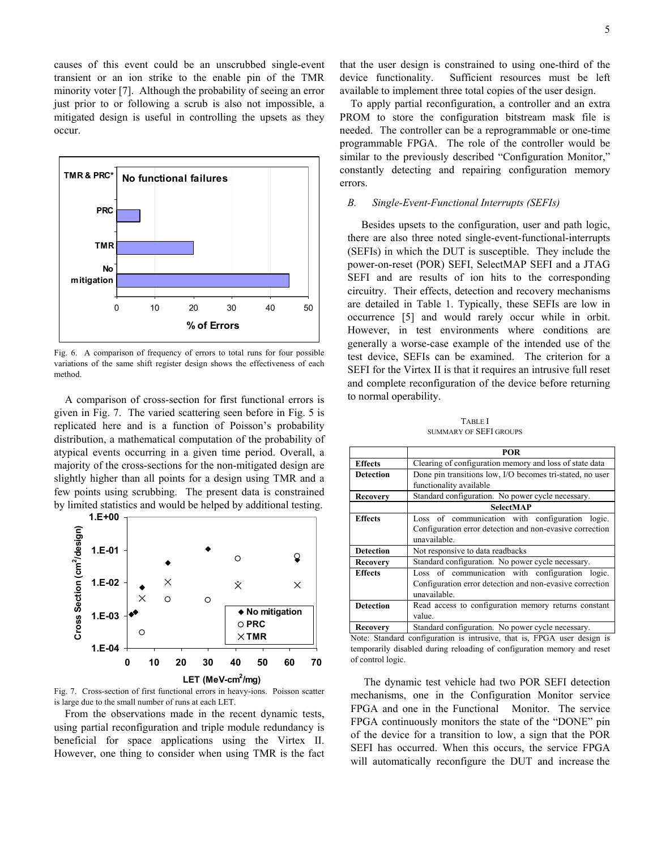causes of this event could be an unscrubbed single-event transient or an ion strike to the enable pin of the TMR minority voter [7]. Although the probability of seeing an error just prior to or following a scrub is also not impossible, a mitigated design is useful in controlling the upsets as they occur.



Fig. 6. A comparison of frequency of errors to total runs for four possible variations of the same shift register design shows the effectiveness of each method.

A comparison of cross-section for first functional errors is given in Fig. 7. The varied scattering seen before in Fig. 5 is replicated here and is a function of Poisson's probability distribution, a mathematical computation of the probability of atypical events occurring in a given time period. Overall, a majority of the cross-sections for the non-mitigated design are slightly higher than all points for a design using TMR and a few points using scrubbing. The present data is constrained by limited statistics and would be helped by additional testing.



Fig. 7. Cross-section of first functional errors in heavy-ions. Poisson scatter is large due to the small number of runs at each LET.

From the observations made in the recent dynamic tests, using partial reconfiguration and triple module redundancy is beneficial for space applications using the Virtex II. However, one thing to consider when using TMR is the fact

that the user design is constrained to using one-third of the device functionality. Sufficient resources must be left available to implement three total copies of the user design.

To apply partial reconfiguration, a controller and an extra PROM to store the configuration bitstream mask file is needed. The controller can be a reprogrammable or one-time programmable FPGA. The role of the controller would be similar to the previously described "Configuration Monitor," constantly detecting and repairing configuration memory errors.

## *B. Single-Event-Functional Interrupts (SEFIs)*

 Besides upsets to the configuration, user and path logic, there are also three noted single-event-functional-interrupts (SEFIs) in which the DUT is susceptible. They include the power-on-reset (POR) SEFI, SelectMAP SEFI and a JTAG SEFI and are results of ion hits to the corresponding circuitry. Their effects, detection and recovery mechanisms are detailed in Table 1. Typically, these SEFIs are low in occurrence [5] and would rarely occur while in orbit. However, in test environments where conditions are generally a worse-case example of the intended use of the test device, SEFIs can be examined. The criterion for a SEFI for the Virtex II is that it requires an intrusive full reset and complete reconfiguration of the device before returning to normal operability.

TABLE I SUMMARY OF SEFI GROUPS

|                  | POR                                                       |
|------------------|-----------------------------------------------------------|
| <b>Effects</b>   | Clearing of configuration memory and loss of state data   |
| <b>Detection</b> | Done pin transitions low, I/O becomes tri-stated, no user |
|                  | functionality available                                   |
| Recovery         | Standard configuration. No power cycle necessary.         |
|                  | <b>SelectMAP</b>                                          |
| <b>Effects</b>   | Loss of communication with configuration logic.           |
|                  | Configuration error detection and non-evasive correction  |
|                  | unavailable.                                              |
| <b>Detection</b> | Not responsive to data readbacks                          |
| Recovery         | Standard configuration. No power cycle necessary.         |
| <b>Effects</b>   | Loss of communication with configuration logic.           |
|                  | Configuration error detection and non-evasive correction  |
|                  | unavailable.                                              |
| <b>Detection</b> | Read access to configuration memory returns constant      |
|                  | value.                                                    |
| Recovery         | Standard configuration. No power cycle necessary.         |

Note: Standard configuration is intrusive, that is, FPGA user design is temporarily disabled during reloading of configuration memory and reset of control logic.

The dynamic test vehicle had two POR SEFI detection mechanisms, one in the Configuration Monitor service FPGA and one in the Functional Monitor. The service FPGA continuously monitors the state of the "DONE" pin of the device for a transition to low, a sign that the POR SEFI has occurred. When this occurs, the service FPGA will automatically reconfigure the DUT and increase the